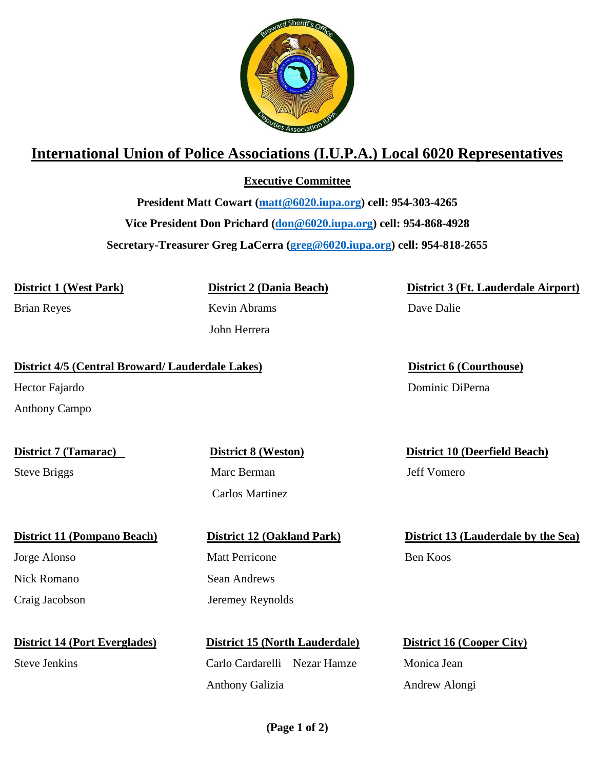

## **International Union of Police Associations (I.U.P.A.) Local 6020 Representatives**

**Executive Committee**

**President Matt Cowart [\(matt@6020.iupa.org\)](mailto:matt@6020.iupa.org) cell: 954-303-4265 Vice President Don Prichard [\(don@6020.iupa.org\)](mailto:don@6020.iupa.org) cell: 954-868-4928 Secretary-Treasurer Greg LaCerra [\(greg@6020.iupa.org\)](mailto:greg@6020.iupa.org) cell: 954-818-2655**

**District 1 (West Park) District 2 (Dania Beach) District 3 (Ft. Lauderdale Airport)**

Brian Reyes Kevin Abrams Dave Dalie

John Herrera

**District 4/5 (Central Broward/ Lauderdale Lakes) District 6 (Courthouse)**

Anthony Campo

Steve Briggs Marc Berman Jeff Vomero

Jorge Alonso Matt Perricone Ben Koos Nick Romano Sean Andrews Craig Jacobson Jeremey Reynolds

**District 14 (Port Everglades) District 15 (North Lauderdale) District 16 (Cooper City)**

Carlos Martinez

Steve Jenkins Carlo Cardarelli Nezar Hamze Monica Jean Anthony Galizia Andrew Alongi

Hector Fajardo Dominic DiPerna

**District 7 (Tamarac) District 8 (Weston) District 10 (Deerfield Beach)**

**District 11 (Pompano Beach) District 12 (Oakland Park) District 13 (Lauderdale by the Sea)**